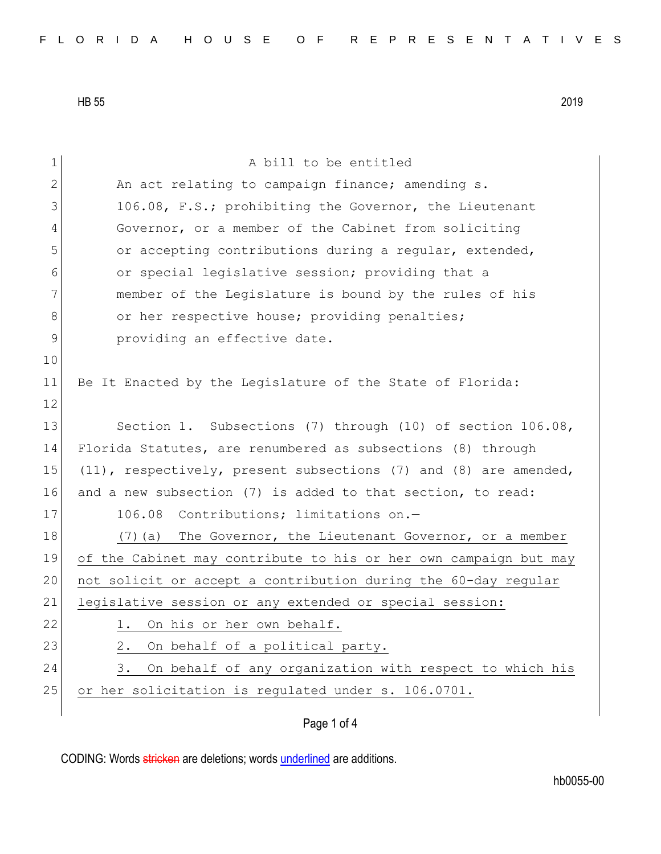| $\mathbf 1$ | A bill to be entitled                                               |
|-------------|---------------------------------------------------------------------|
| 2           | An act relating to campaign finance; amending s.                    |
| 3           | 106.08, F.S.; prohibiting the Governor, the Lieutenant              |
| 4           | Governor, or a member of the Cabinet from soliciting                |
| 5           | or accepting contributions during a regular, extended,              |
| 6           | or special legislative session; providing that a                    |
| 7           | member of the Legislature is bound by the rules of his              |
| 8           | or her respective house; providing penalties;                       |
| 9           | providing an effective date.                                        |
| 10          |                                                                     |
| 11          | Be It Enacted by the Legislature of the State of Florida:           |
| 12          |                                                                     |
| 13          | Section 1. Subsections (7) through (10) of section $106.08$ ,       |
| 14          | Florida Statutes, are renumbered as subsections (8) through         |
| 15          | $(11)$ , respectively, present subsections (7) and (8) are amended, |
| 16          | and a new subsection (7) is added to that section, to read:         |
| 17          | Contributions; limitations on.-<br>106.08                           |
| 18          | (7) (a) The Governor, the Lieutenant Governor, or a member          |
| 19          | of the Cabinet may contribute to his or her own campaign but may    |
| 20          | not solicit or accept a contribution during the 60-day regular      |
| 21          | legislative session or any extended or special session:             |
| 22          | 1. On his or her own behalf.                                        |
| 23          | On behalf of a political party.<br>$2$ .                            |
| 24          | On behalf of any organization with respect to which his<br>3.       |
| 25          | or her solicitation is regulated under s. 106.0701.                 |
|             |                                                                     |

## Page 1 of 4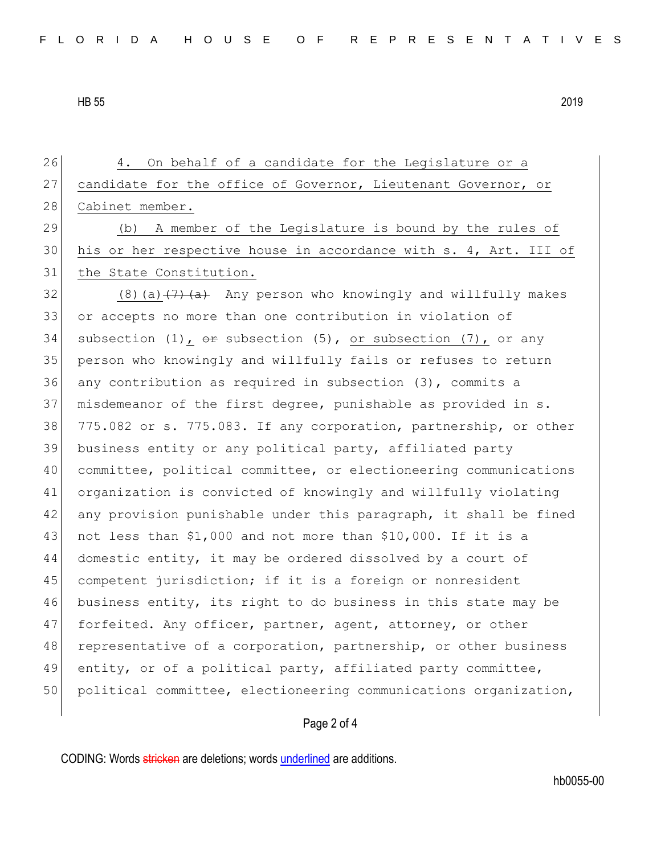26 4. On behalf of a candidate for the Legislature or a 27 candidate for the office of Governor, Lieutenant Governor, or 28 Cabinet member. 29 (b) A member of the Legislature is bound by the rules of 30 his or her respective house in accordance with s. 4, Art. III of 31 the State Constitution. 32 (8)(a)  $\left(7\right)$  (a) Any person who knowingly and willfully makes 33 or accepts no more than one contribution in violation of 34 subsection (1),  $\theta$  subsection (5), or subsection (7), or any 35 person who knowingly and willfully fails or refuses to return 36 any contribution as required in subsection (3), commits a 37 misdemeanor of the first degree, punishable as provided in s. 38 775.082 or s. 775.083. If any corporation, partnership, or other 39 business entity or any political party, affiliated party 40 committee, political committee, or electioneering communications 41 organization is convicted of knowingly and willfully violating 42 any provision punishable under this paragraph, it shall be fined 43 not less than \$1,000 and not more than \$10,000. If it is a 44 domestic entity, it may be ordered dissolved by a court of 45 competent jurisdiction; if it is a foreign or nonresident 46 business entity, its right to do business in this state may be 47 forfeited. Any officer, partner, agent, attorney, or other 48 representative of a corporation, partnership, or other business 49 entity, or of a political party, affiliated party committee, 50 political committee, electioneering communications organization,

## Page 2 of 4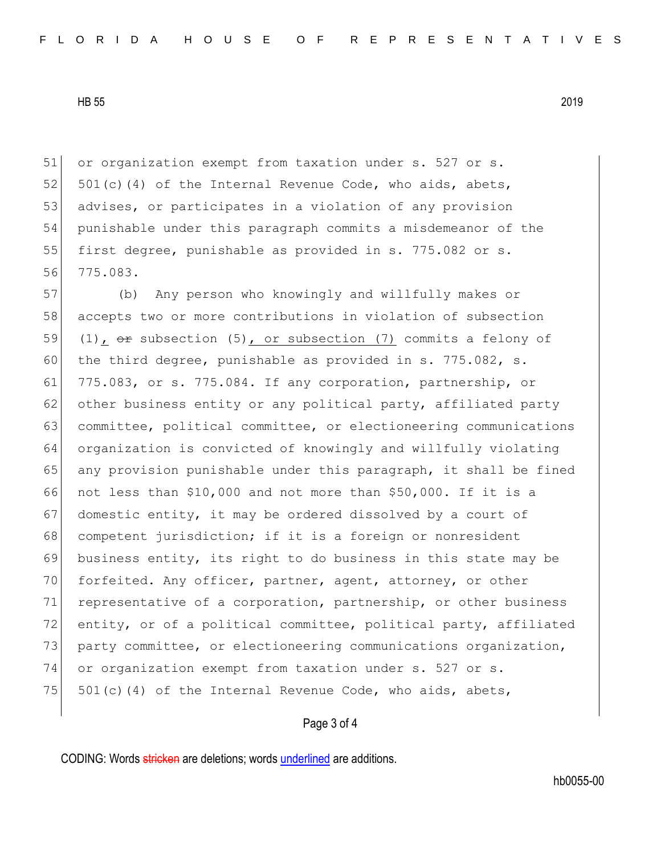51 or organization exempt from taxation under s. 527 or s. 52  $501(c)(4)$  of the Internal Revenue Code, who aids, abets, 53 advises, or participates in a violation of any provision 54 punishable under this paragraph commits a misdemeanor of the 55 first degree, punishable as provided in s. 775.082 or s. 56 775.083.

57 (b) Any person who knowingly and willfully makes or 58 accepts two or more contributions in violation of subsection 59 (1),  $\Theta$  subsection (5), or subsection (7) commits a felony of 60 the third degree, punishable as provided in s. 775.082, s. 61 775.083, or s. 775.084. If any corporation, partnership, or 62 other business entity or any political party, affiliated party 63 committee, political committee, or electioneering communications 64 organization is convicted of knowingly and willfully violating 65 any provision punishable under this paragraph, it shall be fined 66 not less than \$10,000 and not more than \$50,000. If it is a 67 domestic entity, it may be ordered dissolved by a court of 68 competent jurisdiction; if it is a foreign or nonresident 69 business entity, its right to do business in this state may be 70 forfeited. Any officer, partner, agent, attorney, or other 71 representative of a corporation, partnership, or other business 72 entity, or of a political committee, political party, affiliated 73 party committee, or electioneering communications organization, 74 or organization exempt from taxation under s. 527 or s. 75  $501(c)(4)$  of the Internal Revenue Code, who aids, abets,

## Page 3 of 4